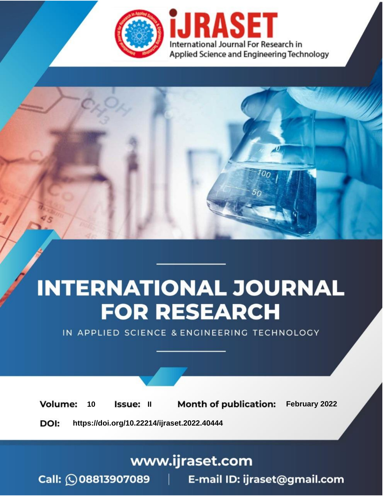

# **INTERNATIONAL JOURNAL FOR RESEARCH**

IN APPLIED SCIENCE & ENGINEERING TECHNOLOGY

**Month of publication:** February 2022 **Volume:** 10 **Issue: II** DOI: https://doi.org/10.22214/ijraset.2022.40444

www.ijraset.com

 $Call: \bigcirc$ 08813907089 E-mail ID: ijraset@gmail.com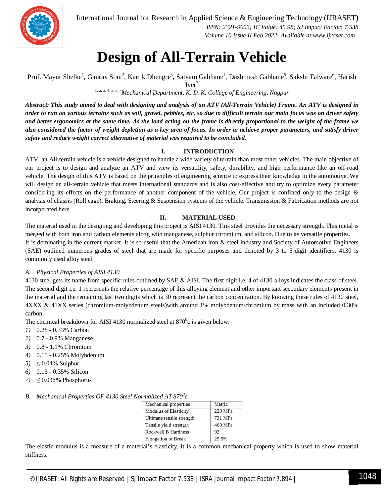

International Journal for Research in Applied Science & Engineering Technology (IJRASET**)**

 *ISSN: 2321-9653; IC Value: 45.98; SJ Impact Factor: 7.538 Volume 10 Issue II Feb 2022- Available at www.ijraset.com*

### **Design of All-Terrain Vehicle**

Prof. Mayur Shelke<sup>1</sup>, Gaurav Soni<sup>2</sup>, Kartik Dhengre<sup>3</sup>, Satyam Gabhane<sup>4</sup>, Dashmesh Gabhane<sup>5</sup>, Sakshi Talware<sup>6</sup>, Harish Iver<sup>'</sup>

*1, 2, 3, 4, 5, 6, 7Mechanical Department, K. D. K. College of Engineering, Nagpur*

*Abstract: This study aimed to deal with designing and analysis of an ATV (All-Terrain Vehicle) Frame. An ATV is designed in order to run on various terrains such as soil, gravel, pebbles, etc. so due to difficult terrain our main focus was on driver safety and better ergonomics at the same time. As the load acting on the frame is directly proportional to the weight of the frame we also considered the factor of weight depletion as a key area of focus. In order to achieve proper parameters, and satisfy driver safety and reduce weight correct alternative of material was required to be concluded.*

#### **I. INTRODUCTION**

ATV, an All-terrain vehicle is a vehicle designed to handle a wide variety of terrain than most other vehicles. The main objective of our project is to design and analyze an ATV and view its versatility, safety, durability, and high performance like an off-road vehicle. The design of this ATV is based on the principles of engineering science to express their knowledge in the automotive. We will design an all-terrain vehicle that meets international standards and is also cost-effective and try to optimize every parameter considering its effects on the performance of another component of the vehicle. Our project is confined only to the design  $\&$ analysis of chassis (Roll cage), Braking, Steering & Suspension systems of the vehicle. Transmission & Fabrication methods are not incorporated here.

#### **II. MATERIAL USED**

The material used in the designing and developing this project is AISI 4130. This steel provides the necessary strength. This metal is merged with both iron and carbon elements along with manganese, sulphur chromium, and silicon. Due to its versatile properties. It is dominating in the current market. It is so useful that the American iron & steel industry and Society of Automotive Engineers (SAE) outlined numerous grades of steel that are made for specific purposes and denoted by 3 to 5-digit identifiers. 4130 is commonly used alloy steel.

#### *A. Physical Properties of AISI 4130*

4130 steel gets its name from specific rules outlined by SAE & AISI. The first digit i.e. 4 of 4130 alloys indicates the class of steel. The second digit i.e. 1 represents the relative percentage of this alloying element and other important secondary elements present in the material and the remaining last two digits which is 30 represent the carbon concentration. By knowing these rules of 4130 steel, 4XXX & 41XX series (chromium-molybdenum steels)with around 1% molybdenum/chromium by mass with an included 0.30% carbon.

The chemical breakdown for AISI 4130 normalized steel at  $870^{\circ}$ c is given below:

- *1)* 0.28 0.33% Carbon
- *2)* 0.7 0.9% Manganese
- *3)* 0.8 1.1% Chromium
- *4)* 0.15 0.25% Molybdenum
- *5*)  $\leq 0.04\%$  Sulphur
- *6)* 0.15 0.35% Silicon
- *7*)  $\leq 0.035\%$  Phosphorus

#### *B. Mechanical Properties OF 4130 Steel Normalized AT 870<sup>0</sup> c*

| Mechanical properties        | Metric  |
|------------------------------|---------|
| <b>Modulus of Elasticity</b> | 220 MPa |
| Ultimate tensile strength    | 731 MPa |
| Tensile yield strength       | 460 MPa |
| <b>Rockwell B Hardness</b>   | 92      |
| <b>Elongation of Break</b>   | 25.5%   |

The elastic modulus is a measure of a material's elasticity, it is a common mechanical property which is used to show material stiffness.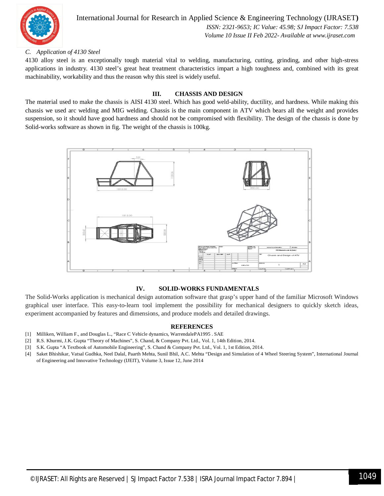

International Journal for Research in Applied Science & Engineering Technology (IJRASET**)**  *ISSN: 2321-9653; IC Value: 45.98; SJ Impact Factor: 7.538 Volume 10 Issue II Feb 2022- Available at www.ijraset.com*

#### *C. Application of 4130 Steel*

4130 alloy steel is an exceptionally tough material vital to welding, manufacturing, cutting, grinding, and other high-stress applications in industry. 4130 steel's great heat treatment characteristics impart a high toughness and, combined with its great machinability, workability and thus the reason why this steel is widely useful.

#### **III. CHASSIS AND DESIGN**

The material used to make the chassis is AISI 4130 steel. Which has good weld-ability, ductility, and hardness. While making this chassis we used arc welding and MIG welding. Chassis is the main component in ATV which bears all the weight and provides suspension, so it should have good hardness and should not be compromised with flexibility. The design of the chassis is done by Solid-works software as shown in fig. The weight of the chassis is 100kg.



#### **IV. SOLID-WORKS FUNDAMENTALS**

The Solid-Works application is mechanical design automation software that grasp's upper hand of the familiar Microsoft Windows graphical user interface. This easy-to-learn tool implement the possibility for mechanical designers to quickly sketch ideas, experiment accompanied by features and dimensions, and produce models and detailed drawings.

#### **REFERENCES**

- [1] Milliken, William F., and Douglas L., "Race C Vehicle dynamics, WarrendalePA1995 . SAE
- [2] R.S. Khurmi, J.K. Gupta "Theory of Machines", S. Chand, & Company Pvt. Ltd., Vol. 1, 14th Edition, 2014.
- [3] S.K. Gupta "A Textbook of Automobile Engineering", S. Chand & Company Pvt. Ltd., Vol. 1, 1st Edition, 2014.
- [4] Saket Bhishikar, Vatsal Gudhka, Neel Dalal, Paarth Mehta, Sunil Bhil, A.C. Mehta "Design and Simulation of 4 Wheel Steering System", International Journal of Engineering and Innovative Technology (IJEIT), Volume 3, Issue 12, June 2014